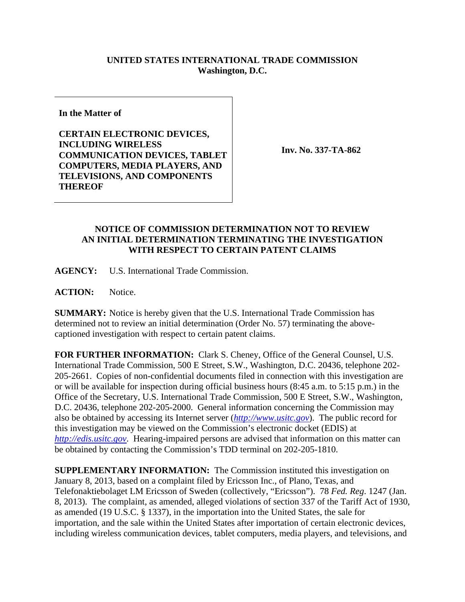## **UNITED STATES INTERNATIONAL TRADE COMMISSION Washington, D.C.**

**In the Matter of** 

**CERTAIN ELECTRONIC DEVICES, INCLUDING WIRELESS COMMUNICATION DEVICES, TABLET COMPUTERS, MEDIA PLAYERS, AND TELEVISIONS, AND COMPONENTS THEREOF** 

**Inv. No. 337-TA-862**

## **NOTICE OF COMMISSION DETERMINATION NOT TO REVIEW AN INITIAL DETERMINATION TERMINATING THE INVESTIGATION WITH RESPECT TO CERTAIN PATENT CLAIMS**

**AGENCY:** U.S. International Trade Commission.

ACTION: Notice.

**SUMMARY:** Notice is hereby given that the U.S. International Trade Commission has determined not to review an initial determination (Order No. 57) terminating the abovecaptioned investigation with respect to certain patent claims.

**FOR FURTHER INFORMATION:** Clark S. Cheney, Office of the General Counsel, U.S. International Trade Commission, 500 E Street, S.W., Washington, D.C. 20436, telephone 202- 205-2661. Copies of non-confidential documents filed in connection with this investigation are or will be available for inspection during official business hours (8:45 a.m. to 5:15 p.m.) in the Office of the Secretary, U.S. International Trade Commission, 500 E Street, S.W., Washington, D.C. 20436, telephone 202-205-2000. General information concerning the Commission may also be obtained by accessing its Internet server (*http://www.usitc.gov*). The public record for this investigation may be viewed on the Commission's electronic docket (EDIS) at *http://edis.usitc.gov*. Hearing-impaired persons are advised that information on this matter can be obtained by contacting the Commission's TDD terminal on 202-205-1810.

**SUPPLEMENTARY INFORMATION:** The Commission instituted this investigation on January 8, 2013, based on a complaint filed by Ericsson Inc., of Plano, Texas, and Telefonaktiebolaget LM Ericsson of Sweden (collectively, "Ericsson"). 78 *Fed. Reg*. 1247 (Jan. 8, 2013). The complaint, as amended, alleged violations of section 337 of the Tariff Act of 1930, as amended (19 U.S.C. § 1337), in the importation into the United States, the sale for importation, and the sale within the United States after importation of certain electronic devices, including wireless communication devices, tablet computers, media players, and televisions, and